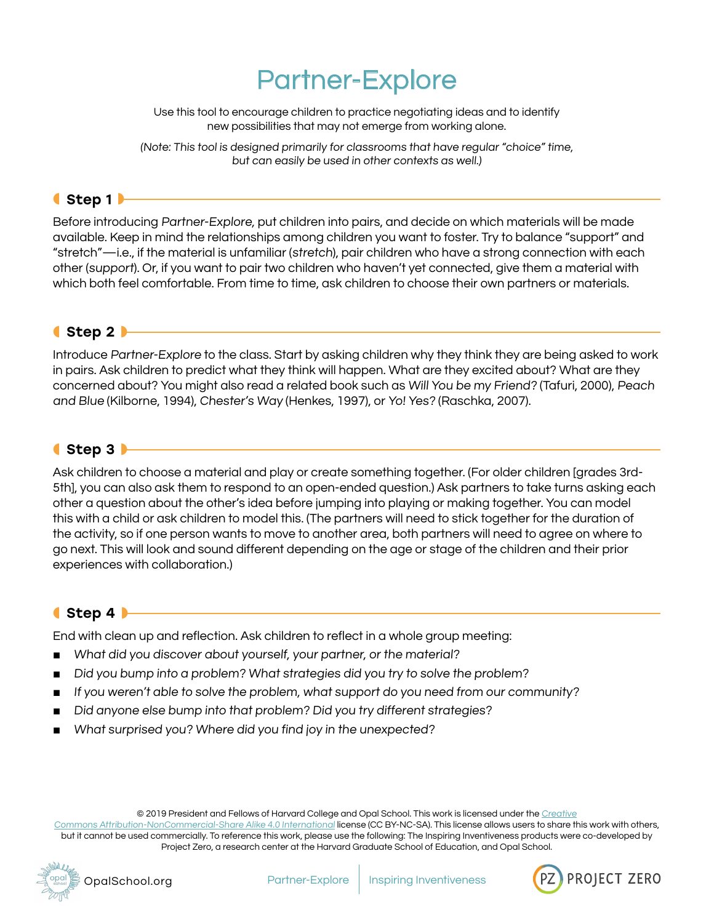# Partner-Explore

Use this tool to encourage children to practice negotiating ideas and to identify new possibilities that may not emerge from working alone.

(Note: This tool is designed primarily for classrooms that have regular "choice" time, but can easily be used in other contexts as well.)

#### ◖Step 1◗

Before introducing Partner-Explore, put children into pairs, and decide on which materials will be made available. Keep in mind the relationships among children you want to foster. Try to balance "support" and "stretch"—i.e., if the material is unfamiliar (stretch), pair children who have a strong connection with each other (support). Or, if you want to pair two children who haven't yet connected, give them a material with which both feel comfortable. From time to time, ask children to choose their own partners or materials.

## ◖Step 2◗

Introduce Partner-Explore to the class. Start by asking children why they think they are being asked to work in pairs. Ask children to predict what they think will happen. What are they excited about? What are they concerned about? You might also read a related book such as Will You be my Friend? (Tafuri, 2000), Peach and Blue (Kilborne, 1994), Chester's Way (Henkes, 1997), or Yo! Yes? (Raschka, 2007).

## ◖Step 3◗

Ask children to choose a material and play or create something together. (For older children [grades 3rd-5th], you can also ask them to respond to an open-ended question.) Ask partners to take turns asking each other a question about the other's idea before jumping into playing or making together. You can model this with a child or ask children to model this. (The partners will need to stick together for the duration of the activity, so if one person wants to move to another area, both partners will need to agree on where to go next. This will look and sound different depending on the age or stage of the children and their prior experiences with collaboration.)

## ◖Step 4◗

End with clean up and reflection. Ask children to reflect in a whole group meeting:

- What did you discover about yourself, your partner, or the material?
- Did you bump into a problem? What strategies did you try to solve the problem?
- If you weren't able to solve the problem, what support do you need from our community?
- Did anyone else bump into that problem? Did you try different strategies?
- What surprised you? Where did you find joy in the unexpected?

© 2019 President and Fellows of Harvard College and Opal School. This work is licensed under the [Creative](https://creativecommons.org/licenses/by-nc-sa/4.0/)

[Commons Attribution-NonCommercial-Share Alike 4.0 International](https://creativecommons.org/licenses/by-nc-sa/4.0/) license (CC BY-NC-SA). This license allows users to share this work with others, but it cannot be used commercially. To reference this work, please use the following: The Inspiring Inventiveness products were co-developed by Project Zero, a research center at the Harvard Graduate School of Education, and Opal School.



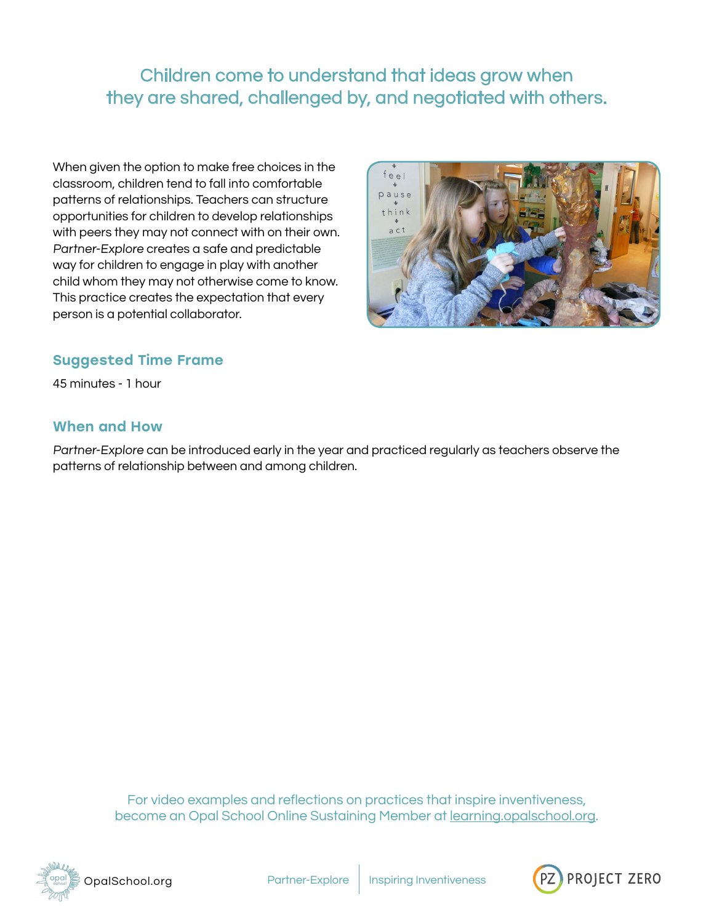Children come to understand that ideas grow when they are shared, challenged by, and negotiated with others.

When given the option to make free choices in the classroom, children tend to fall into comfortable patterns of relationships. Teachers can structure opportunities for children to develop relationships with peers they may not connect with on their own. Partner-Explore creates a safe and predictable way for children to engage in play with another child whom they may not otherwise come to know. This practice creates the expectation that every person is a potential collaborator.



## Suggested Time Frame

45 minutes - 1 hour

#### When and How

Partner-Explore can be introduced early in the year and practiced regularly as teachers observe the patterns of relationship between and among children.

> For video examples and reflections on practices that inspire inventiveness, become an Opal School Online Sustaining Member at [learning.opalschool.org.](http://learning.opalschool.org)